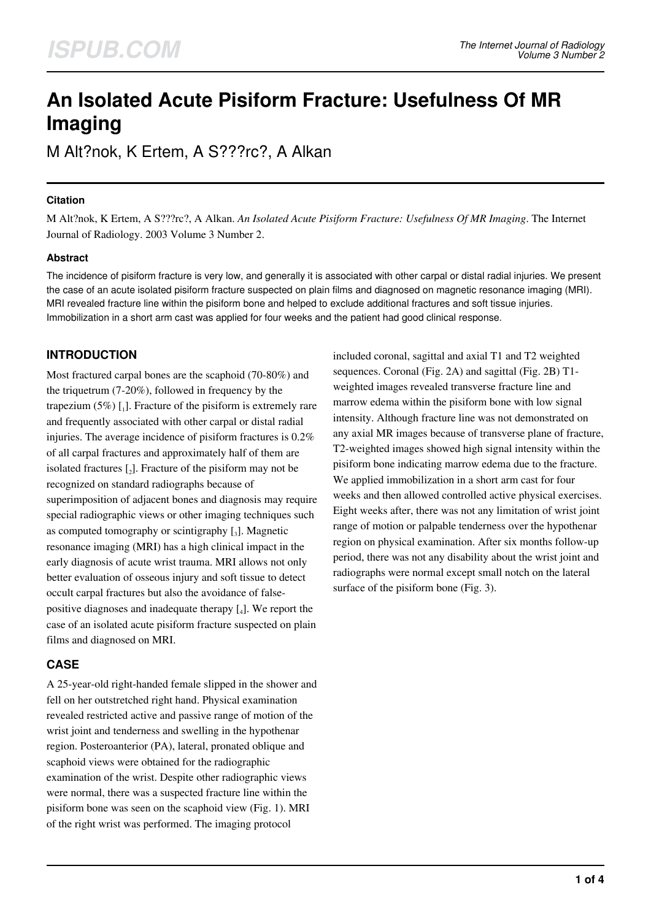# **An Isolated Acute Pisiform Fracture: Usefulness Of MR Imaging**

M Alt?nok, K Ertem, A S???rc?, A Alkan

## **Citation**

M Alt?nok, K Ertem, A S???rc?, A Alkan. *An Isolated Acute Pisiform Fracture: Usefulness Of MR Imaging*. The Internet Journal of Radiology. 2003 Volume 3 Number 2.

## **Abstract**

The incidence of pisiform fracture is very low, and generally it is associated with other carpal or distal radial injuries. We present the case of an acute isolated pisiform fracture suspected on plain films and diagnosed on magnetic resonance imaging (MRI). MRI revealed fracture line within the pisiform bone and helped to exclude additional fractures and soft tissue injuries. Immobilization in a short arm cast was applied for four weeks and the patient had good clinical response.

# **INTRODUCTION**

Most fractured carpal bones are the scaphoid (70-80%) and the triquetrum (7-20%), followed in frequency by the trapezium  $(5\%)$  [1]. Fracture of the pisiform is extremely rare and frequently associated with other carpal or distal radial injuries. The average incidence of pisiform fractures is 0.2% of all carpal fractures and approximately half of them are isolated fractures  $\left[2\right]$ . Fracture of the pisiform may not be recognized on standard radiographs because of superimposition of adjacent bones and diagnosis may require special radiographic views or other imaging techniques such as computed tomography or scintigraphy  $\left[ \begin{smallmatrix} 3 \end{smallmatrix} \right]$ . Magnetic resonance imaging (MRI) has a high clinical impact in the early diagnosis of acute wrist trauma. MRI allows not only better evaluation of osseous injury and soft tissue to detect occult carpal fractures but also the avoidance of falsepositive diagnoses and inadequate therapy [4]. We report the case of an isolated acute pisiform fracture suspected on plain films and diagnosed on MRI.

# **CASE**

A 25-year-old right-handed female slipped in the shower and fell on her outstretched right hand. Physical examination revealed restricted active and passive range of motion of the wrist joint and tenderness and swelling in the hypothenar region. Posteroanterior (PA), lateral, pronated oblique and scaphoid views were obtained for the radiographic examination of the wrist. Despite other radiographic views were normal, there was a suspected fracture line within the pisiform bone was seen on the scaphoid view (Fig. 1). MRI of the right wrist was performed. The imaging protocol

included coronal, sagittal and axial T1 and T2 weighted sequences. Coronal (Fig. 2A) and sagittal (Fig. 2B) T1 weighted images revealed transverse fracture line and marrow edema within the pisiform bone with low signal intensity. Although fracture line was not demonstrated on any axial MR images because of transverse plane of fracture, T2-weighted images showed high signal intensity within the pisiform bone indicating marrow edema due to the fracture. We applied immobilization in a short arm cast for four weeks and then allowed controlled active physical exercises. Eight weeks after, there was not any limitation of wrist joint range of motion or palpable tenderness over the hypothenar region on physical examination. After six months follow-up period, there was not any disability about the wrist joint and radiographs were normal except small notch on the lateral surface of the pisiform bone (Fig. 3).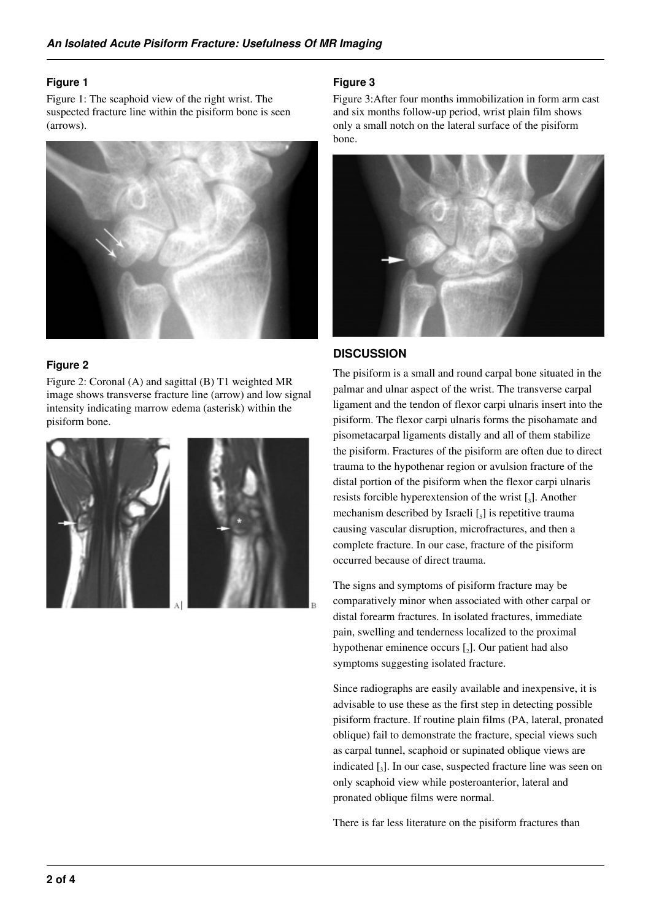#### **Figure 1**

Figure 1: The scaphoid view of the right wrist. The suspected fracture line within the pisiform bone is seen (arrows).



#### **Figure 2**

Figure 2: Coronal (A) and sagittal (B) T1 weighted MR image shows transverse fracture line (arrow) and low signal intensity indicating marrow edema (asterisk) within the pisiform bone.



#### **Figure 3**

Figure 3:After four months immobilization in form arm cast and six months follow-up period, wrist plain film shows only a small notch on the lateral surface of the pisiform bone.



## **DISCUSSION**

The pisiform is a small and round carpal bone situated in the palmar and ulnar aspect of the wrist. The transverse carpal ligament and the tendon of flexor carpi ulnaris insert into the pisiform. The flexor carpi ulnaris forms the pisohamate and pisometacarpal ligaments distally and all of them stabilize the pisiform. Fractures of the pisiform are often due to direct trauma to the hypothenar region or avulsion fracture of the distal portion of the pisiform when the flexor carpi ulnaris resists forcible hyperextension of the wrist  $\left[\begin{smallmatrix} 3 \end{smallmatrix}\right]$ . Another mechanism described by Israeli  $\left[\begin{smallmatrix} 5 \end{smallmatrix}\right]$  is repetitive trauma causing vascular disruption, microfractures, and then a complete fracture. In our case, fracture of the pisiform occurred because of direct trauma.

The signs and symptoms of pisiform fracture may be comparatively minor when associated with other carpal or distal forearm fractures. In isolated fractures, immediate pain, swelling and tenderness localized to the proximal hypothenar eminence occurs  $\left[\right]$ . Our patient had also symptoms suggesting isolated fracture.

Since radiographs are easily available and inexpensive, it is advisable to use these as the first step in detecting possible pisiform fracture. If routine plain films (PA, lateral, pronated oblique) fail to demonstrate the fracture, special views such as carpal tunnel, scaphoid or supinated oblique views are indicated [<sup>3</sup> ]. In our case, suspected fracture line was seen on only scaphoid view while posteroanterior, lateral and pronated oblique films were normal.

There is far less literature on the pisiform fractures than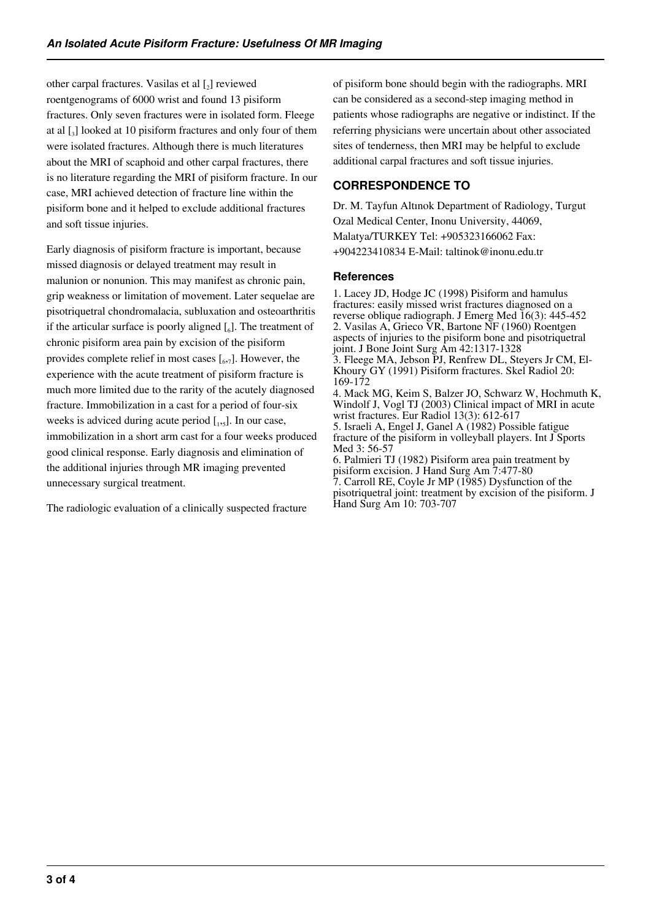other carpal fractures. Vasilas et al  $\left[2\right]$  reviewed roentgenograms of 6000 wrist and found 13 pisiform fractures. Only seven fractures were in isolated form. Fleege at al [<sup>3</sup> ] looked at 10 pisiform fractures and only four of them were isolated fractures. Although there is much literatures about the MRI of scaphoid and other carpal fractures, there is no literature regarding the MRI of pisiform fracture. In our case, MRI achieved detection of fracture line within the pisiform bone and it helped to exclude additional fractures and soft tissue injuries.

Early diagnosis of pisiform fracture is important, because missed diagnosis or delayed treatment may result in malunion or nonunion. This may manifest as chronic pain, grip weakness or limitation of movement. Later sequelae are pisotriquetral chondromalacia, subluxation and osteoarthritis if the articular surface is poorly aligned  $\left[\begin{smallmatrix}6\end{smallmatrix}\right]$ . The treatment of chronic pisiform area pain by excision of the pisiform provides complete relief in most cases  $\left[\begin{smallmatrix}6,&7\end{smallmatrix}\right]$ . However, the experience with the acute treatment of pisiform fracture is much more limited due to the rarity of the acutely diagnosed fracture. Immobilization in a cast for a period of four-six weeks is adviced during acute period  $[$ <sub>1,5</sub> $]$ . In our case, immobilization in a short arm cast for a four weeks produced good clinical response. Early diagnosis and elimination of the additional injuries through MR imaging prevented unnecessary surgical treatment.

The radiologic evaluation of a clinically suspected fracture

of pisiform bone should begin with the radiographs. MRI can be considered as a second-step imaging method in patients whose radiographs are negative or indistinct. If the referring physicians were uncertain about other associated sites of tenderness, then MRI may be helpful to exclude additional carpal fractures and soft tissue injuries.

# **CORRESPONDENCE TO**

Hand Surg Am 10: 703-707

Dr. M. Tayfun Altınok Department of Radiology, Turgut Ozal Medical Center, Inonu University, 44069, Malatya/TURKEY Tel: +905323166062 Fax: +904223410834 E-Mail: taltinok@inonu.edu.tr

# **References**

1. Lacey JD, Hodge JC (1998) Pisiform and hamulus fractures: easily missed wrist fractures diagnosed on a reverse oblique radiograph. J Emerg Med 16(3): 445-452 2. Vasilas A, Grieco VR, Bartone NF (1960) Roentgen aspects of injuries to the pisiform bone and pisotriquetral joint. J Bone Joint Surg Am 42:1317-1328 3. Fleege MA, Jebson PJ, Renfrew DL, Steyers Jr CM, El-Khoury GY (1991) Pisiform fractures. Skel Radiol 20: 169-172 4. Mack MG, Keim S, Balzer JO, Schwarz W, Hochmuth K, Windolf J, Vogl TJ (2003) Clinical impact of MRI in acute wrist fractures. Eur Radiol 13(3): 612-617 5. Israeli A, Engel J, Ganel A (1982) Possible fatigue fracture of the pisiform in volleyball players. Int J Sports Med 3: 56-57 6. Palmieri TJ (1982) Pisiform area pain treatment by pisiform excision. J Hand Surg Am 7:477-80 7. Carroll RE, Coyle Jr MP (1985) Dysfunction of the pisotriquetral joint: treatment by excision of the pisiform. J